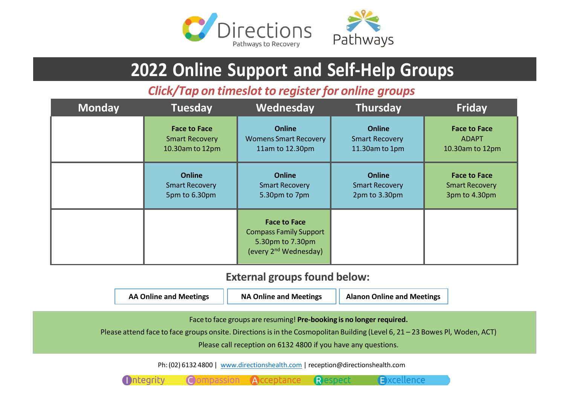

# **2022 Online Support and Self-Help Groups**

*Click/Tap on timeslot to register for online groups*

| <b>Monday</b> | <b>Tuesday</b>        | Wednesday                                                                                                     | <b>Thursday</b>       | <b>Friday</b>         |
|---------------|-----------------------|---------------------------------------------------------------------------------------------------------------|-----------------------|-----------------------|
|               | <b>Face to Face</b>   | <b>Online</b>                                                                                                 | <b>Online</b>         | <b>Face to Face</b>   |
|               | <b>Smart Recovery</b> | <b>Womens Smart Recovery</b>                                                                                  | <b>Smart Recovery</b> | <b>ADAPT</b>          |
|               | 10.30am to 12pm       | 11am to 12.30pm                                                                                               | 11.30am to 1pm        | 10.30am to 12pm       |
|               | <b>Online</b>         | <b>Online</b>                                                                                                 | <b>Online</b>         | <b>Face to Face</b>   |
|               | <b>Smart Recovery</b> | <b>Smart Recovery</b>                                                                                         | <b>Smart Recovery</b> | <b>Smart Recovery</b> |
|               | 5pm to 6.30pm         | 5.30pm to 7pm                                                                                                 | 2pm to 3.30pm         | 3pm to 4.30pm         |
|               |                       | <b>Face to Face</b><br><b>Compass Family Support</b><br>5.30pm to 7.30pm<br>(every 2 <sup>nd</sup> Wednesday) |                       |                       |

## **External groups found below:**

| <b>AA Online and Meetings</b> | <b>NA Online and Meetings</b> | <b>Alanon Online and Meetings</b> |
|-------------------------------|-------------------------------|-----------------------------------|
|-------------------------------|-------------------------------|-----------------------------------|

Faceto face groups are resuming! **Pre-booking is no longer required.**

Please attend face to face groups onsite. Directions is in the Cosmopolitan Building (Level 6, 21 – 23 Bowes Pl, Woden, ACT)

Please call reception on 6132 4800 if you have any questions.

Respect

Excellence

Ph:(02) 6132 4800 | [www.directionshealth.com](http://www.directionshealth.com/) | [reception@directionshealth.com](mailto:reception@directionshealth.com)

Compassion Acceptance

**Integrity**